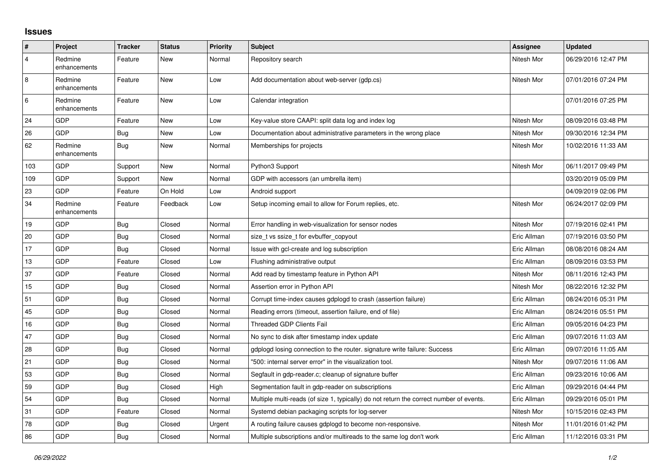## **Issues**

| $\vert$ #      | Project                 | <b>Tracker</b> | <b>Status</b> | Priority | <b>Subject</b>                                                                          | <b>Assignee</b> | <b>Updated</b>      |
|----------------|-------------------------|----------------|---------------|----------|-----------------------------------------------------------------------------------------|-----------------|---------------------|
| $\overline{4}$ | Redmine<br>enhancements | Feature        | New           | Normal   | Repository search                                                                       | Nitesh Mor      | 06/29/2016 12:47 PM |
| $\overline{8}$ | Redmine<br>enhancements | Feature        | New           | Low      | Add documentation about web-server (gdp.cs)                                             | Nitesh Mor      | 07/01/2016 07:24 PM |
| 6              | Redmine<br>enhancements | Feature        | New           | Low      | Calendar integration                                                                    |                 | 07/01/2016 07:25 PM |
| 24             | GDP                     | Feature        | New           | Low      | Key-value store CAAPI: split data log and index log                                     | Nitesh Mor      | 08/09/2016 03:48 PM |
| 26             | GDP                     | Bug            | New           | Low      | Documentation about administrative parameters in the wrong place                        | Nitesh Mor      | 09/30/2016 12:34 PM |
| 62             | Redmine<br>enhancements | <b>Bug</b>     | New           | Normal   | Memberships for projects                                                                | Nitesh Mor      | 10/02/2016 11:33 AM |
| 103            | GDP                     | Support        | New           | Normal   | Python3 Support                                                                         | Nitesh Mor      | 06/11/2017 09:49 PM |
| 109            | GDP                     | Support        | New           | Normal   | GDP with accessors (an umbrella item)                                                   |                 | 03/20/2019 05:09 PM |
| 23             | GDP                     | Feature        | On Hold       | Low      | Android support                                                                         |                 | 04/09/2019 02:06 PM |
| 34             | Redmine<br>enhancements | Feature        | Feedback      | Low      | Setup incoming email to allow for Forum replies, etc.                                   | Nitesh Mor      | 06/24/2017 02:09 PM |
| 19             | GDP                     | <b>Bug</b>     | Closed        | Normal   | Error handling in web-visualization for sensor nodes                                    | Nitesh Mor      | 07/19/2016 02:41 PM |
| 20             | GDP                     | Bug            | Closed        | Normal   | size_t vs ssize_t for evbuffer_copyout                                                  | Eric Allman     | 07/19/2016 03:50 PM |
| 17             | GDP                     | Bug            | Closed        | Normal   | Issue with gcl-create and log subscription                                              | Eric Allman     | 08/08/2016 08:24 AM |
| 13             | GDP                     | Feature        | Closed        | Low      | Flushing administrative output                                                          | Eric Allman     | 08/09/2016 03:53 PM |
| 37             | GDP                     | Feature        | Closed        | Normal   | Add read by timestamp feature in Python API                                             | Nitesh Mor      | 08/11/2016 12:43 PM |
| 15             | GDP                     | Bug            | Closed        | Normal   | Assertion error in Python API                                                           | Nitesh Mor      | 08/22/2016 12:32 PM |
| 51             | GDP                     | Bug            | Closed        | Normal   | Corrupt time-index causes gdplogd to crash (assertion failure)                          | Eric Allman     | 08/24/2016 05:31 PM |
| 45             | GDP                     | Bug            | Closed        | Normal   | Reading errors (timeout, assertion failure, end of file)                                | Eric Allman     | 08/24/2016 05:51 PM |
| 16             | GDP                     | Bug            | Closed        | Normal   | Threaded GDP Clients Fail                                                               | Eric Allman     | 09/05/2016 04:23 PM |
| 47             | GDP                     | <b>Bug</b>     | Closed        | Normal   | No sync to disk after timestamp index update                                            | Eric Allman     | 09/07/2016 11:03 AM |
| 28             | GDP                     | Bug            | Closed        | Normal   | gdplogd losing connection to the router, signature write failure: Success               | Eric Allman     | 09/07/2016 11:05 AM |
| 21             | GDP                     | Bug            | Closed        | Normal   | '500: internal server error" in the visualization tool.                                 | Nitesh Mor      | 09/07/2016 11:06 AM |
| 53             | GDP                     | Bug            | Closed        | Normal   | Segfault in gdp-reader.c; cleanup of signature buffer                                   | Eric Allman     | 09/23/2016 10:06 AM |
| 59             | GDP                     | Bug            | Closed        | High     | Segmentation fault in gdp-reader on subscriptions                                       | Eric Allman     | 09/29/2016 04:44 PM |
| 54             | GDP                     | Bug            | Closed        | Normal   | Multiple multi-reads (of size 1, typically) do not return the correct number of events. | Eric Allman     | 09/29/2016 05:01 PM |
| 31             | GDP                     | Feature        | Closed        | Normal   | Systemd debian packaging scripts for log-server                                         | Nitesh Mor      | 10/15/2016 02:43 PM |
| 78             | GDP                     | Bug            | Closed        | Urgent   | A routing failure causes gdplogd to become non-responsive.                              | Nitesh Mor      | 11/01/2016 01:42 PM |
| 86             | GDP                     | Bug            | Closed        | Normal   | Multiple subscriptions and/or multireads to the same log don't work                     | Eric Allman     | 11/12/2016 03:31 PM |